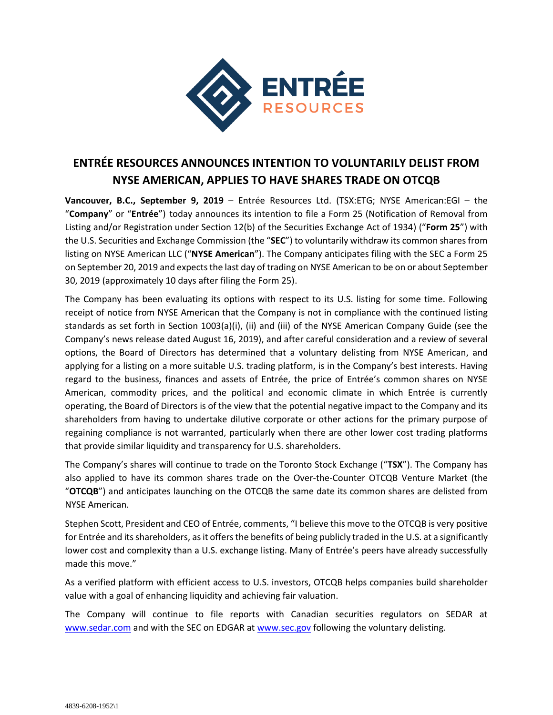

## **ENTRÉE RESOURCES ANNOUNCES INTENTION TO VOLUNTARILY DELIST FROM NYSE AMERICAN, APPLIES TO HAVE SHARES TRADE ON OTCQB**

**Vancouver, B.C., September 9, 2019** – Entrée Resources Ltd. (TSX:ETG; NYSE American:EGI – the "**Company**" or "**Entrée**") today announces its intention to file a Form 25 (Notification of Removal from Listing and/or Registration under Section 12(b) of the Securities Exchange Act of 1934) ("**Form 25**") with the U.S. Securities and Exchange Commission (the "**SEC**") to voluntarily withdraw its common shares from listing on NYSE American LLC ("**NYSE American**"). The Company anticipates filing with the SEC a Form 25 on September 20, 2019 and expects the last day of trading on NYSE American to be on or about September 30, 2019 (approximately 10 days after filing the Form 25).

The Company has been evaluating its options with respect to its U.S. listing for some time. Following receipt of notice from NYSE American that the Company is not in compliance with the continued listing standards as set forth in Section 1003(a)(i), (ii) and (iii) of the NYSE American Company Guide (see the Company's news release dated August 16, 2019), and after careful consideration and a review of several options, the Board of Directors has determined that a voluntary delisting from NYSE American, and applying for a listing on a more suitable U.S. trading platform, is in the Company's best interests. Having regard to the business, finances and assets of Entrée, the price of Entrée's common shares on NYSE American, commodity prices, and the political and economic climate in which Entrée is currently operating, the Board of Directors is of the view that the potential negative impact to the Company and its shareholders from having to undertake dilutive corporate or other actions for the primary purpose of regaining compliance is not warranted, particularly when there are other lower cost trading platforms that provide similar liquidity and transparency for U.S. shareholders.

The Company's shares will continue to trade on the Toronto Stock Exchange ("**TSX**"). The Company has also applied to have its common shares trade on the Over-the-Counter OTCQB Venture Market (the "**OTCQB**") and anticipates launching on the OTCQB the same date its common shares are delisted from NYSE American.

Stephen Scott, President and CEO of Entrée, comments, "I believe this move to the OTCQB is very positive for Entrée and its shareholders, as it offers the benefits of being publicly traded in the U.S. at a significantly lower cost and complexity than a U.S. exchange listing. Many of Entrée's peers have already successfully made this move."

As a verified platform with efficient access to U.S. investors, OTCQB helps companies build shareholder value with a goal of enhancing liquidity and achieving fair valuation.

The Company will continue to file reports with Canadian securities regulators on SEDAR at [www.sedar.com](http://www.sedar.com/) and with the SEC on EDGAR at [www.sec.gov](http://www.sec.gov/) following the voluntary delisting.